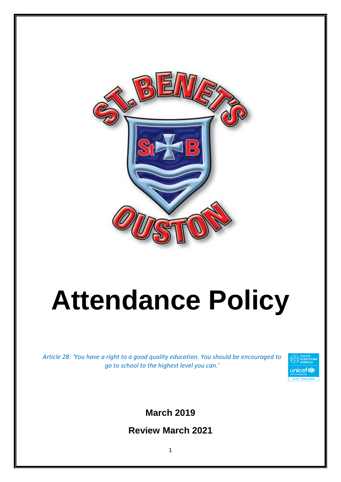

# **Attendance Policy**

*Article 28: 'You have a right to a good quality education. You should be encouraged to go to school to the highest level you can.'*



**March 2019**

**Review March 2021**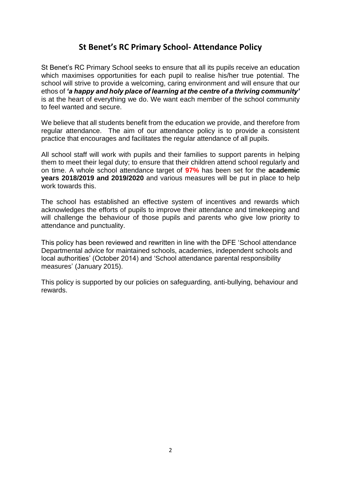# **St Benet's RC Primary School- Attendance Policy**

St Benet's RC Primary School seeks to ensure that all its pupils receive an education which maximises opportunities for each pupil to realise his/her true potential. The school will strive to provide a welcoming, caring environment and will ensure that our ethos of *'a happy and holy place of learning at the centre of a thriving community'* is at the heart of everything we do. We want each member of the school community to feel wanted and secure.

We believe that all students benefit from the education we provide, and therefore from regular attendance. The aim of our attendance policy is to provide a consistent practice that encourages and facilitates the regular attendance of all pupils.

All school staff will work with pupils and their families to support parents in helping them to meet their legal duty; to ensure that their children attend school regularly and on time. A whole school attendance target of **97%** has been set for the **academic years 2018/2019 and 2019/2020** and various measures will be put in place to help work towards this.

The school has established an effective system of incentives and rewards which acknowledges the efforts of pupils to improve their attendance and timekeeping and will challenge the behaviour of those pupils and parents who give low priority to attendance and punctuality.

This policy has been reviewed and rewritten in line with the DFE 'School attendance Departmental advice for maintained schools, academies, independent schools and local authorities' (October 2014) and 'School attendance parental responsibility measures' (January 2015).

This policy is supported by our policies on safeguarding, anti-bullying, behaviour and rewards.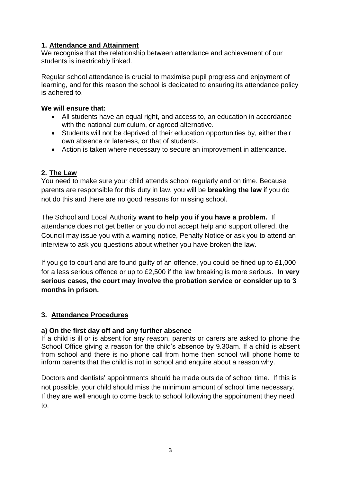# **1. Attendance and Attainment**

We recognise that the relationship between attendance and achievement of our students is inextricably linked.

Regular school attendance is crucial to maximise pupil progress and enjoyment of learning, and for this reason the school is dedicated to ensuring its attendance policy is adhered to.

### **We will ensure that:**

- All students have an equal right, and access to, an education in accordance with the national curriculum, or agreed alternative.
- Students will not be deprived of their education opportunities by, either their own absence or lateness, or that of students.
- Action is taken where necessary to secure an improvement in attendance.

# **2. The Law**

You need to make sure your child attends school regularly and on time. Because parents are responsible for this duty in law, you will be **breaking the law** if you do not do this and there are no good reasons for missing school.

The School and Local Authority **want to help you if you have a problem.** If attendance does not get better or you do not accept help and support offered, the Council may issue you with a warning notice, Penalty Notice or ask you to attend an interview to ask you questions about whether you have broken the law.

If you go to court and are found guilty of an offence, you could be fined up to £1,000 for a less serious offence or up to £2,500 if the law breaking is more serious. **In very serious cases, the court may involve the probation service or consider up to 3 months in prison.**

# **3. Attendance Procedures**

# **a) On the first day off and any further absence**

If a child is ill or is absent for any reason, parents or carers are asked to phone the School Office giving a reason for the child's absence by 9.30am. If a child is absent from school and there is no phone call from home then school will phone home to inform parents that the child is not in school and enquire about a reason why.

Doctors and dentists' appointments should be made outside of school time. If this is not possible, your child should miss the minimum amount of school time necessary. If they are well enough to come back to school following the appointment they need to.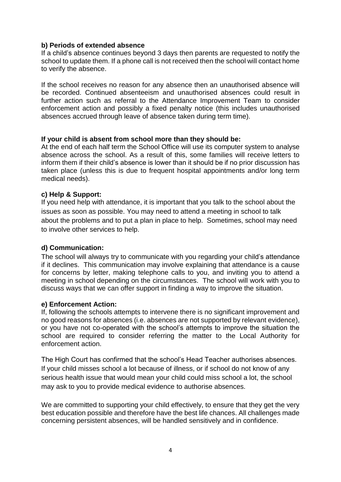#### **b) Periods of extended absence**

If a child's absence continues beyond 3 days then parents are requested to notify the school to update them. If a phone call is not received then the school will contact home to verify the absence.

If the school receives no reason for any absence then an unauthorised absence will be recorded. Continued absenteeism and unauthorised absences could result in further action such as referral to the Attendance Improvement Team to consider enforcement action and possibly a fixed penalty notice (this includes unauthorised absences accrued through leave of absence taken during term time).

#### **If your child is absent from school more than they should be:**

At the end of each half term the School Office will use its computer system to analyse absence across the school. As a result of this, some families will receive letters to inform them if their child's absence is lower than it should be if no prior discussion has taken place (unless this is due to frequent hospital appointments and/or long term medical needs).

#### **c) Help & Support:**

If you need help with attendance, it is important that you talk to the school about the issues as soon as possible. You may need to attend a meeting in school to talk about the problems and to put a plan in place to help. Sometimes, school may need to involve other services to help.

#### **d) Communication:**

The school will always try to communicate with you regarding your child's attendance if it declines. This communication may involve explaining that attendance is a cause for concerns by letter, making telephone calls to you, and inviting you to attend a meeting in school depending on the circumstances. The school will work with you to discuss ways that we can offer support in finding a way to improve the situation.

#### **e) Enforcement Action:**

If, following the schools attempts to intervene there is no significant improvement and no good reasons for absences (i.e. absences are not supported by relevant evidence), or you have not co-operated with the school's attempts to improve the situation the school are required to consider referring the matter to the Local Authority for enforcement action.

The High Court has confirmed that the school's Head Teacher authorises absences. If your child misses school a lot because of illness, or if school do not know of any serious health issue that would mean your child could miss school a lot, the school may ask to you to provide medical evidence to authorise absences.

We are committed to supporting your child effectively, to ensure that they get the very best education possible and therefore have the best life chances. All challenges made concerning persistent absences, will be handled sensitively and in confidence.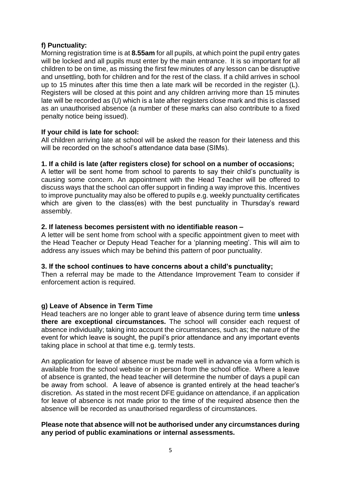# **f) Punctuality:**

Morning registration time is at **8.55am** for all pupils, at which point the pupil entry gates will be locked and all pupils must enter by the main entrance. It is so important for all children to be on time, as missing the first few minutes of any lesson can be disruptive and unsettling, both for children and for the rest of the class. If a child arrives in school up to 15 minutes after this time then a late mark will be recorded in the register (L). Registers will be closed at this point and any children arriving more than 15 minutes late will be recorded as (U) which is a late after registers close mark and this is classed as an unauthorised absence (a number of these marks can also contribute to a fixed penalty notice being issued).

# **If your child is late for school:**

All children arriving late at school will be asked the reason for their lateness and this will be recorded on the school's attendance data base (SIMs).

#### **1. If a child is late (after registers close) for school on a number of occasions;**

A letter will be sent home from school to parents to say their child's punctuality is causing some concern. An appointment with the Head Teacher will be offered to discuss ways that the school can offer support in finding a way improve this. Incentives to improve punctuality may also be offered to pupils e.g. weekly punctuality certificates which are given to the class(es) with the best punctuality in Thursday's reward assembly.

#### **2. If lateness becomes persistent with no identifiable reason –**

A letter will be sent home from school with a specific appointment given to meet with the Head Teacher or Deputy Head Teacher for a 'planning meeting'. This will aim to address any issues which may be behind this pattern of poor punctuality.

#### **3. If the school continues to have concerns about a child's punctuality;**

Then a referral may be made to the Attendance Improvement Team to consider if enforcement action is required.

# **g) Leave of Absence in Term Time**

Head teachers are no longer able to grant leave of absence during term time **unless there are exceptional circumstances.** The school will consider each request of absence individually; taking into account the circumstances, such as; the nature of the event for which leave is sought, the pupil's prior attendance and any important events taking place in school at that time e.g. termly tests.

An application for leave of absence must be made well in advance via a form which is available from the school website or in person from the school office. Where a leave of absence is granted, the head teacher will determine the number of days a pupil can be away from school. A leave of absence is granted entirely at the head teacher's discretion. As stated in the most recent DFE guidance on attendance, if an application for leave of absence is not made prior to the time of the required absence then the absence will be recorded as unauthorised regardless of circumstances.

#### **Please note that absence will not be authorised under any circumstances during any period of public examinations or internal assessments.**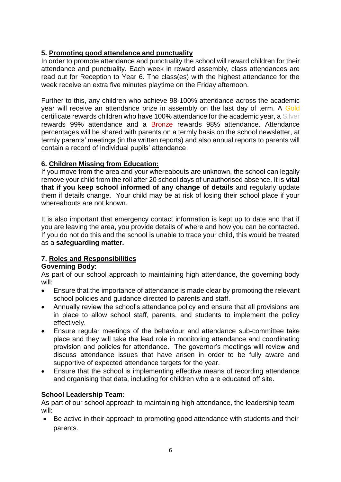# **5. Promoting good attendance and punctuality**

In order to promote attendance and punctuality the school will reward children for their attendance and punctuality. Each week in reward assembly, class attendances are read out for Reception to Year 6. The class(es) with the highest attendance for the week receive an extra five minutes playtime on the Friday afternoon.

Further to this, any children who achieve 98-100% attendance across the academic year will receive an attendance prize in assembly on the last day of term. A Gold certificate rewards children who have 100% attendance for the academic year, a Silver rewards 99% attendance and a Bronze rewards 98% attendance. Attendance percentages will be shared with parents on a termly basis on the school newsletter, at termly parents' meetings (in the written reports) and also annual reports to parents will contain a record of individual pupils' attendance.

# **6. Children Missing from Education:**

If you move from the area and your whereabouts are unknown, the school can legally remove your child from the roll after 20 school days of unauthorised absence. It is **vital that if you keep school informed of any change of details** and regularly update them if details change. Your child may be at risk of losing their school place if your whereabouts are not known.

It is also important that emergency contact information is kept up to date and that if you are leaving the area, you provide details of where and how you can be contacted. If you do not do this and the school is unable to trace your child, this would be treated as a **safeguarding matter.**

# **7. Roles and Responsibilities**

# **Governing Body:**

As part of our school approach to maintaining high attendance, the governing body will:

- Ensure that the importance of attendance is made clear by promoting the relevant school policies and guidance directed to parents and staff.
- Annually review the school's attendance policy and ensure that all provisions are in place to allow school staff, parents, and students to implement the policy effectively.
- Ensure regular meetings of the behaviour and attendance sub-committee take place and they will take the lead role in monitoring attendance and coordinating provision and policies for attendance. The governor's meetings will review and discuss attendance issues that have arisen in order to be fully aware and supportive of expected attendance targets for the year.
- Ensure that the school is implementing effective means of recording attendance and organising that data, including for children who are educated off site.

# **School Leadership Team:**

As part of our school approach to maintaining high attendance, the leadership team will:

 Be active in their approach to promoting good attendance with students and their parents.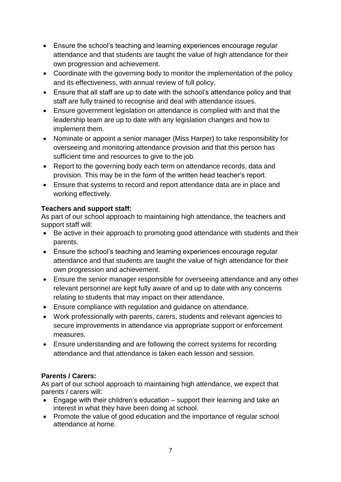- Ensure the school's teaching and learning experiences encourage regular attendance and that students are taught the value of high attendance for their own progression and achievement.
- Coordinate with the governing body to monitor the implementation of the policy and its effectiveness, with annual review of full policy.
- Ensure that all staff are up to date with the school's attendance policy and that staff are fully trained to recognise and deal with attendance issues.
- Ensure government legislation on attendance is complied with and that the leadership team are up to date with any legislation changes and how to implement them.
- Nominate or appoint a senior manager (Miss Harper) to take responsibility for overseeing and monitoring attendance provision and that this person has sufficient time and resources to give to the job.
- Report to the governing body each term on attendance records, data and provision. This may be in the form of the written head teacher's report.
- Ensure that systems to record and report attendance data are in place and working effectively.

# **Teachers and support staff:**

As part of our school approach to maintaining high attendance, the teachers and support staff will:

- Be active in their approach to promoting good attendance with students and their parents.
- Ensure the school's teaching and learning experiences encourage regular attendance and that students are taught the value of high attendance for their own progression and achievement.
- Ensure the senior manager responsible for overseeing attendance and any other relevant personnel are kept fully aware of and up to date with any concerns relating to students that may impact on their attendance.
- Ensure compliance with regulation and guidance on attendance.
- Work professionally with parents, carers, students and relevant agencies to secure improvements in attendance via appropriate support or enforcement measures.
- Ensure understanding and are following the correct systems for recording attendance and that attendance is taken each lesson and session.

# **Parents / Carers:**

As part of our school approach to maintaining high attendance, we expect that parents / carers will:

- Engage with their children's education support their learning and take an interest in what they have been doing at school.
- Promote the value of good education and the importance of regular school attendance at home.